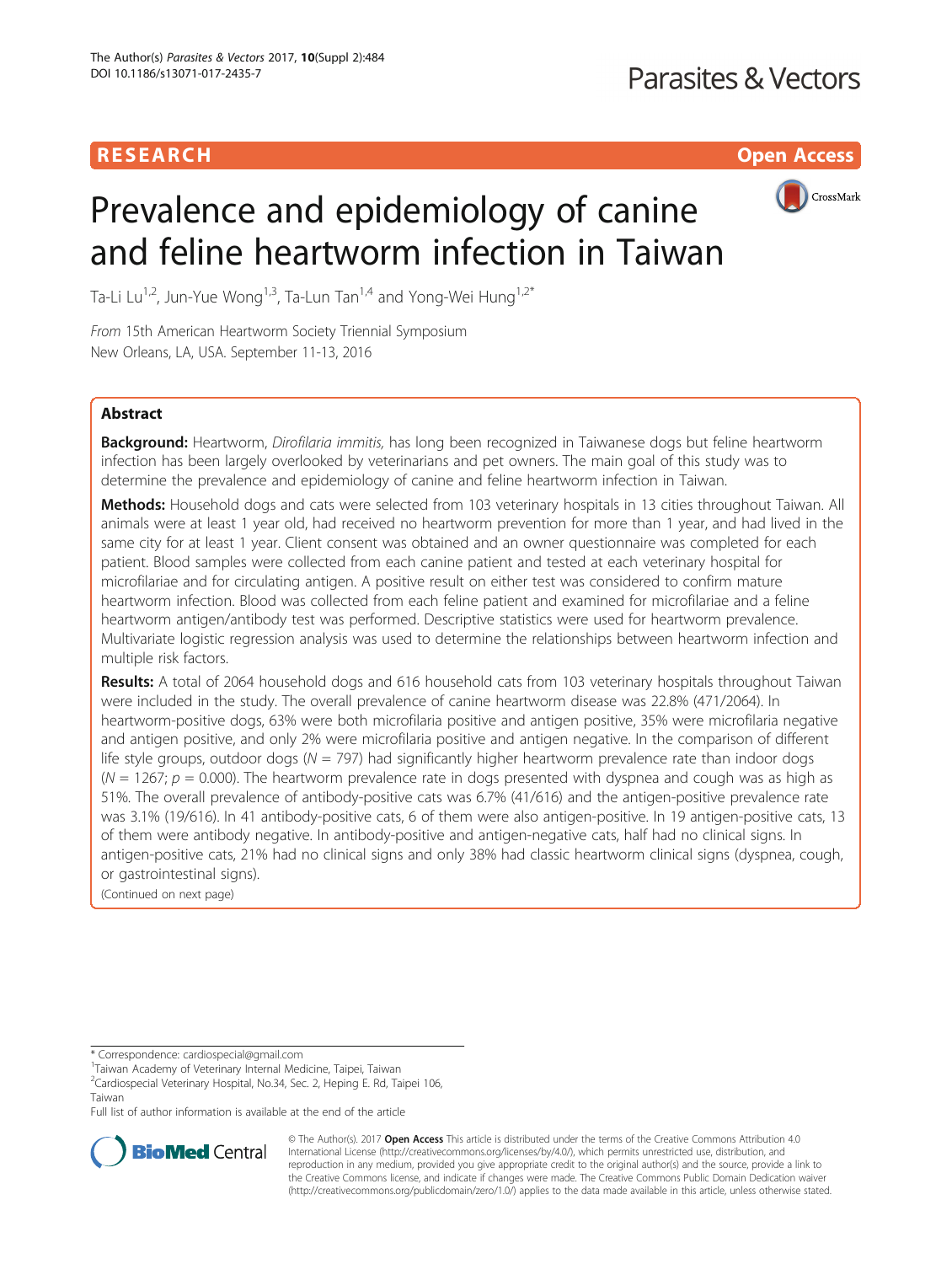## **RESEARCH CHILD CONTROL** CONTROL CONTROL CONTROL CONTROL CONTROL CONTROL CONTROL CONTROL CONTROL CONTROL CONTROL CONTROL CONTROL CONTROL CONTROL CONTROL CONTROL CONTROL CONTROL CONTROL CONTROL CONTROL CONTROL CONTROL CONTR



# Prevalence and epidemiology of canine and feline heartworm infection in Taiwan

Ta-Li Lu<sup>1,2</sup>, Jun-Yue Wong<sup>1,3</sup>, Ta-Lun Tan<sup>1,4</sup> and Yong-Wei Hung<sup>1,2\*</sup>

From 15th American Heartworm Society Triennial Symposium New Orleans, LA, USA. September 11-13, 2016

## Abstract

Background: Heartworm, Dirofilaria immitis, has long been recognized in Taiwanese dogs but feline heartworm infection has been largely overlooked by veterinarians and pet owners. The main goal of this study was to determine the prevalence and epidemiology of canine and feline heartworm infection in Taiwan.

Methods: Household dogs and cats were selected from 103 veterinary hospitals in 13 cities throughout Taiwan. All animals were at least 1 year old, had received no heartworm prevention for more than 1 year, and had lived in the same city for at least 1 year. Client consent was obtained and an owner questionnaire was completed for each patient. Blood samples were collected from each canine patient and tested at each veterinary hospital for microfilariae and for circulating antigen. A positive result on either test was considered to confirm mature heartworm infection. Blood was collected from each feline patient and examined for microfilariae and a feline heartworm antigen/antibody test was performed. Descriptive statistics were used for heartworm prevalence. Multivariate logistic regression analysis was used to determine the relationships between heartworm infection and multiple risk factors.

Results: A total of 2064 household dogs and 616 household cats from 103 veterinary hospitals throughout Taiwan were included in the study. The overall prevalence of canine heartworm disease was 22.8% (471/2064). In heartworm-positive dogs, 63% were both microfilaria positive and antigen positive, 35% were microfilaria negative and antigen positive, and only 2% were microfilaria positive and antigen negative. In the comparison of different life style groups, outdoor dogs ( $N = 797$ ) had significantly higher heartworm prevalence rate than indoor dogs  $(N = 1267; p = 0.000)$ . The heartworm prevalence rate in dogs presented with dyspnea and cough was as high as 51%. The overall prevalence of antibody-positive cats was 6.7% (41/616) and the antigen-positive prevalence rate was 3.1% (19/616). In 41 antibody-positive cats, 6 of them were also antigen-positive. In 19 antigen-positive cats, 13 of them were antibody negative. In antibody-positive and antigen-negative cats, half had no clinical signs. In antigen-positive cats, 21% had no clinical signs and only 38% had classic heartworm clinical signs (dyspnea, cough, or gastrointestinal signs).

(Continued on next page)

\* Correspondence: [cardiospecial@gmail.com](mailto:cardiospecial@gmail.com) <sup>1</sup>

<sup>1</sup>Taiwan Academy of Veterinary Internal Medicine, Taipei, Taiwan

<sup>2</sup>Cardiospecial Veterinary Hospital, No.34, Sec. 2, Heping E. Rd, Taipei 106, Taiwan

Full list of author information is available at the end of the article



© The Author(s). 2017 **Open Access** This article is distributed under the terms of the Creative Commons Attribution 4.0 International License [\(http://creativecommons.org/licenses/by/4.0/](http://creativecommons.org/licenses/by/4.0/)), which permits unrestricted use, distribution, and reproduction in any medium, provided you give appropriate credit to the original author(s) and the source, provide a link to the Creative Commons license, and indicate if changes were made. The Creative Commons Public Domain Dedication waiver [\(http://creativecommons.org/publicdomain/zero/1.0/](http://creativecommons.org/publicdomain/zero/1.0/)) applies to the data made available in this article, unless otherwise stated.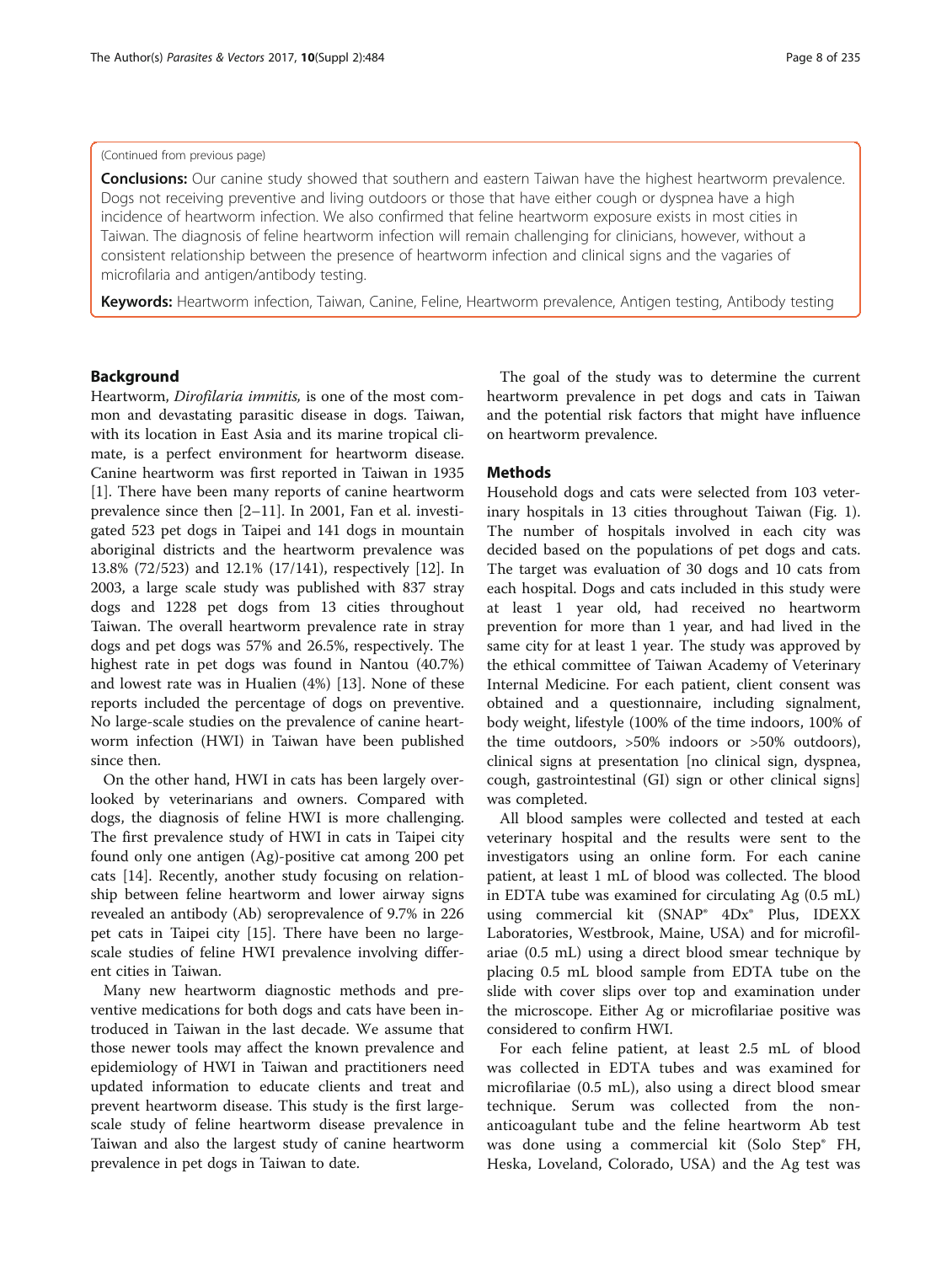## (Continued from previous page)

**Conclusions:** Our canine study showed that southern and eastern Taiwan have the highest heartworm prevalence. Dogs not receiving preventive and living outdoors or those that have either cough or dyspnea have a high incidence of heartworm infection. We also confirmed that feline heartworm exposure exists in most cities in Taiwan. The diagnosis of feline heartworm infection will remain challenging for clinicians, however, without a consistent relationship between the presence of heartworm infection and clinical signs and the vagaries of microfilaria and antigen/antibody testing.

Keywords: Heartworm infection, Taiwan, Canine, Feline, Heartworm prevalence, Antigen testing, Antibody testing

## Background

Heartworm, Dirofilaria immitis, is one of the most common and devastating parasitic disease in dogs. Taiwan, with its location in East Asia and its marine tropical climate, is a perfect environment for heartworm disease. Canine heartworm was first reported in Taiwan in 1935 [[1\]](#page-8-0). There have been many reports of canine heartworm prevalence since then [\[2](#page-8-0)–[11](#page-8-0)]. In 2001, Fan et al. investigated 523 pet dogs in Taipei and 141 dogs in mountain aboriginal districts and the heartworm prevalence was 13.8% (72/523) and 12.1% (17/141), respectively [\[12\]](#page-8-0). In 2003, a large scale study was published with 837 stray dogs and 1228 pet dogs from 13 cities throughout Taiwan. The overall heartworm prevalence rate in stray dogs and pet dogs was 57% and 26.5%, respectively. The highest rate in pet dogs was found in Nantou (40.7%) and lowest rate was in Hualien (4%) [[13\]](#page-8-0). None of these reports included the percentage of dogs on preventive. No large-scale studies on the prevalence of canine heartworm infection (HWI) in Taiwan have been published since then.

On the other hand, HWI in cats has been largely overlooked by veterinarians and owners. Compared with dogs, the diagnosis of feline HWI is more challenging. The first prevalence study of HWI in cats in Taipei city found only one antigen (Ag)-positive cat among 200 pet cats [[14\]](#page-8-0). Recently, another study focusing on relationship between feline heartworm and lower airway signs revealed an antibody (Ab) seroprevalence of 9.7% in 226 pet cats in Taipei city [[15](#page-8-0)]. There have been no largescale studies of feline HWI prevalence involving different cities in Taiwan.

Many new heartworm diagnostic methods and preventive medications for both dogs and cats have been introduced in Taiwan in the last decade. We assume that those newer tools may affect the known prevalence and epidemiology of HWI in Taiwan and practitioners need updated information to educate clients and treat and prevent heartworm disease. This study is the first largescale study of feline heartworm disease prevalence in Taiwan and also the largest study of canine heartworm prevalence in pet dogs in Taiwan to date.

The goal of the study was to determine the current heartworm prevalence in pet dogs and cats in Taiwan and the potential risk factors that might have influence on heartworm prevalence.

## **Methods**

Household dogs and cats were selected from 103 veterinary hospitals in 13 cities throughout Taiwan (Fig. [1](#page-2-0)). The number of hospitals involved in each city was decided based on the populations of pet dogs and cats. The target was evaluation of 30 dogs and 10 cats from each hospital. Dogs and cats included in this study were at least 1 year old, had received no heartworm prevention for more than 1 year, and had lived in the same city for at least 1 year. The study was approved by the ethical committee of Taiwan Academy of Veterinary Internal Medicine. For each patient, client consent was obtained and a questionnaire, including signalment, body weight, lifestyle (100% of the time indoors, 100% of the time outdoors, >50% indoors or >50% outdoors), clinical signs at presentation [no clinical sign, dyspnea, cough, gastrointestinal (GI) sign or other clinical signs] was completed.

All blood samples were collected and tested at each veterinary hospital and the results were sent to the investigators using an online form. For each canine patient, at least 1 mL of blood was collected. The blood in EDTA tube was examined for circulating Ag (0.5 mL) using commercial kit (SNAP® 4Dx® Plus, IDEXX Laboratories, Westbrook, Maine, USA) and for microfilariae (0.5 mL) using a direct blood smear technique by placing 0.5 mL blood sample from EDTA tube on the slide with cover slips over top and examination under the microscope. Either Ag or microfilariae positive was considered to confirm HWI.

For each feline patient, at least 2.5 mL of blood was collected in EDTA tubes and was examined for microfilariae (0.5 mL), also using a direct blood smear technique. Serum was collected from the nonanticoagulant tube and the feline heartworm Ab test was done using a commercial kit (Solo Step® FH, Heska, Loveland, Colorado, USA) and the Ag test was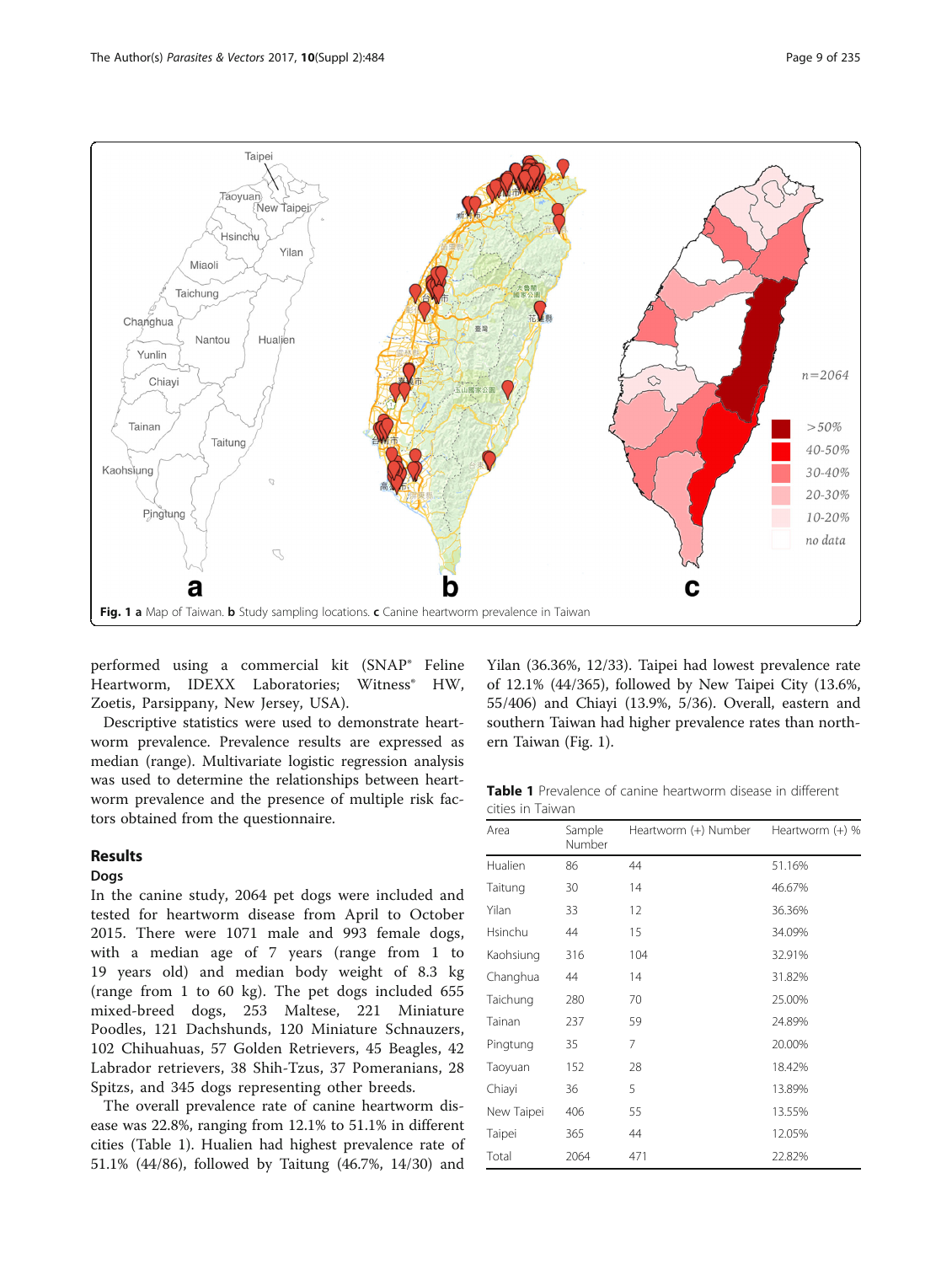<span id="page-2-0"></span>

performed using a commercial kit (SNAP® Feline Heartworm, IDEXX Laboratories; Witness® HW, Zoetis, Parsippany, New Jersey, USA).

Descriptive statistics were used to demonstrate heartworm prevalence. Prevalence results are expressed as median (range). Multivariate logistic regression analysis was used to determine the relationships between heartworm prevalence and the presence of multiple risk factors obtained from the questionnaire.

## Results

## Dogs

In the canine study, 2064 pet dogs were included and tested for heartworm disease from April to October 2015. There were 1071 male and 993 female dogs, with a median age of 7 years (range from 1 to 19 years old) and median body weight of 8.3 kg (range from 1 to 60 kg). The pet dogs included 655 mixed-breed dogs, 253 Maltese, 221 Miniature Poodles, 121 Dachshunds, 120 Miniature Schnauzers, 102 Chihuahuas, 57 Golden Retrievers, 45 Beagles, 42 Labrador retrievers, 38 Shih-Tzus, 37 Pomeranians, 28 Spitzs, and 345 dogs representing other breeds.

The overall prevalence rate of canine heartworm disease was 22.8%, ranging from 12.1% to 51.1% in different cities (Table 1). Hualien had highest prevalence rate of 51.1% (44/86), followed by Taitung (46.7%, 14/30) and

Yilan (36.36%, 12/33). Taipei had lowest prevalence rate of 12.1% (44/365), followed by New Taipei City (13.6%, 55/406) and Chiayi (13.9%, 5/36). Overall, eastern and southern Taiwan had higher prevalence rates than northern Taiwan (Fig. 1).

Table 1 Prevalence of canine heartworm disease in different cities in Taiwan

| Area       | Sample<br>Number | Heartworm (+) Number | Heartworm (+) % |
|------------|------------------|----------------------|-----------------|
| Hualien    | 86               | 44                   | 51.16%          |
| Taitung    | 30               | 14                   | 46.67%          |
| Yilan      | 33               | 12                   | 36.36%          |
| Hsinchu    | 44               | 15                   | 34.09%          |
| Kaohsiung  | 316              | 104                  | 32.91%          |
| Changhua   | 44               | 14                   | 31.82%          |
| Taichung   | 280              | 70                   | 25.00%          |
| Tainan     | 237              | 59                   | 24.89%          |
| Pingtung   | 35               | 7                    | 20.00%          |
| Taoyuan    | 152              | 28                   | 18.42%          |
| Chiayi     | 36               | 5                    | 13.89%          |
| New Taipei | 406              | 55                   | 13.55%          |
| Taipei     | 365              | 44                   | 12.05%          |
| Total      | 2064             | 471                  | 22.82%          |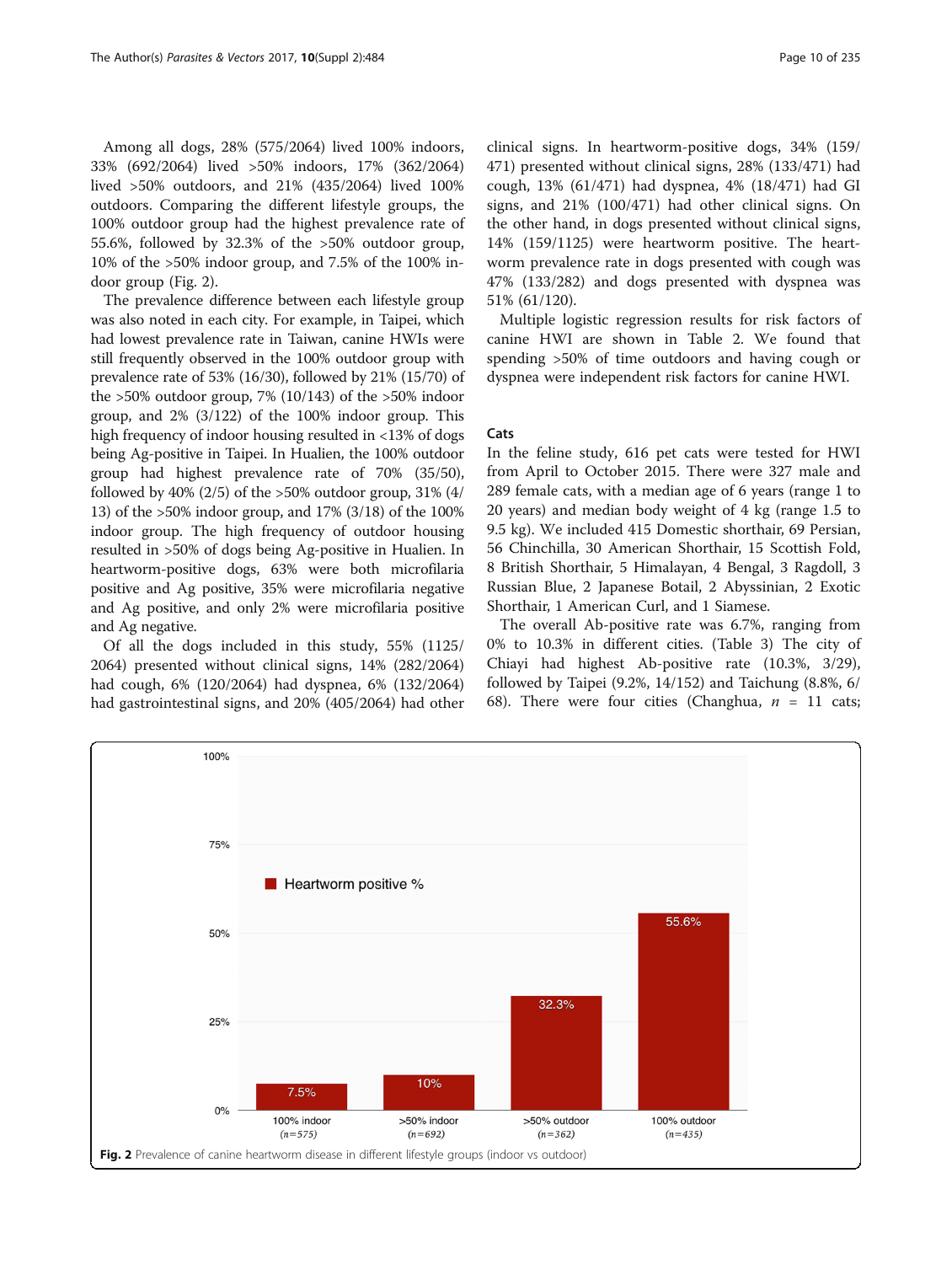Among all dogs, 28% (575/2064) lived 100% indoors, 33% (692/2064) lived >50% indoors, 17% (362/2064) lived >50% outdoors, and 21% (435/2064) lived 100% outdoors. Comparing the different lifestyle groups, the 100% outdoor group had the highest prevalence rate of 55.6%, followed by 32.3% of the >50% outdoor group, 10% of the >50% indoor group, and 7.5% of the 100% indoor group (Fig. 2).

The prevalence difference between each lifestyle group was also noted in each city. For example, in Taipei, which had lowest prevalence rate in Taiwan, canine HWIs were still frequently observed in the 100% outdoor group with prevalence rate of 53% (16/30), followed by 21% (15/70) of the  $>50\%$  outdoor group, 7% (10/143) of the  $>50\%$  indoor group, and 2% (3/122) of the 100% indoor group. This high frequency of indoor housing resulted in <13% of dogs being Ag-positive in Taipei. In Hualien, the 100% outdoor group had highest prevalence rate of 70% (35/50), followed by 40%  $(2/5)$  of the  $>50\%$  outdoor group, 31%  $(4/$ 13) of the >50% indoor group, and 17% (3/18) of the 100% indoor group. The high frequency of outdoor housing resulted in >50% of dogs being Ag-positive in Hualien. In heartworm-positive dogs, 63% were both microfilaria positive and Ag positive, 35% were microfilaria negative and Ag positive, and only 2% were microfilaria positive and Ag negative.

Of all the dogs included in this study, 55% (1125/ 2064) presented without clinical signs, 14% (282/2064) had cough, 6% (120/2064) had dyspnea, 6% (132/2064) had gastrointestinal signs, and 20% (405/2064) had other clinical signs. In heartworm-positive dogs, 34% (159/ 471) presented without clinical signs, 28% (133/471) had cough, 13% (61/471) had dyspnea, 4% (18/471) had GI signs, and 21% (100/471) had other clinical signs. On the other hand, in dogs presented without clinical signs, 14% (159/1125) were heartworm positive. The heartworm prevalence rate in dogs presented with cough was 47% (133/282) and dogs presented with dyspnea was 51% (61/120).

Multiple logistic regression results for risk factors of canine HWI are shown in Table [2](#page-4-0). We found that spending >50% of time outdoors and having cough or dyspnea were independent risk factors for canine HWI.

## **Cats**

In the feline study, 616 pet cats were tested for HWI from April to October 2015. There were 327 male and 289 female cats, with a median age of 6 years (range 1 to 20 years) and median body weight of 4 kg (range 1.5 to 9.5 kg). We included 415 Domestic shorthair, 69 Persian, 56 Chinchilla, 30 American Shorthair, 15 Scottish Fold, 8 British Shorthair, 5 Himalayan, 4 Bengal, 3 Ragdoll, 3 Russian Blue, 2 Japanese Botail, 2 Abyssinian, 2 Exotic Shorthair, 1 American Curl, and 1 Siamese.

The overall Ab-positive rate was 6.7%, ranging from 0% to 10.3% in different cities. (Table [3\)](#page-4-0) The city of Chiayi had highest Ab-positive rate (10.3%, 3/29), followed by Taipei (9.2%, 14/152) and Taichung (8.8%, 6/ 68). There were four cities (Changhua,  $n = 11$  cats;

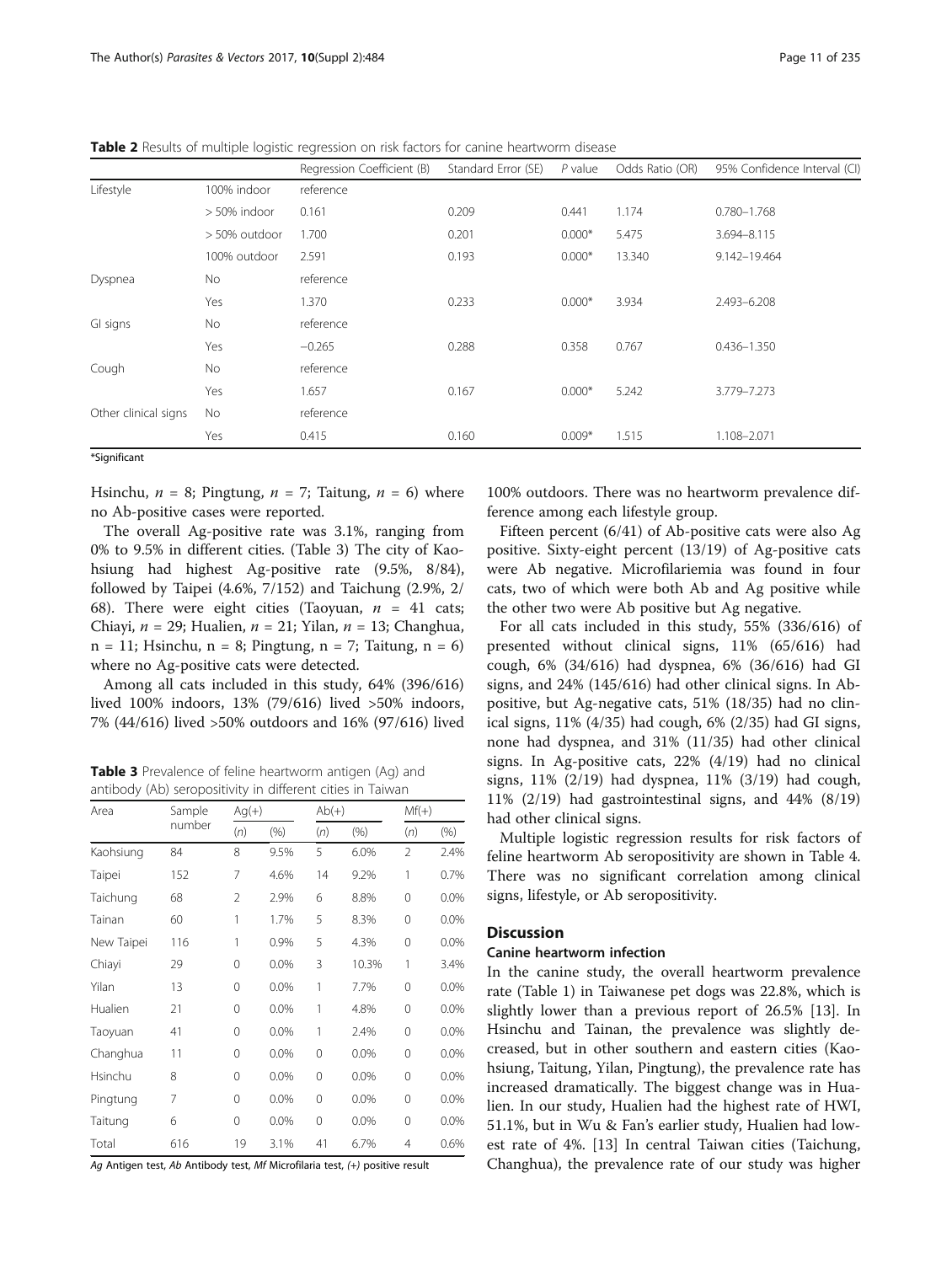|                      |                 | Regression Coefficient (B) | Standard Error (SE) | $P$ value | Odds Ratio (OR) | 95% Confidence Interval (CI) |
|----------------------|-----------------|----------------------------|---------------------|-----------|-----------------|------------------------------|
| Lifestyle            | 100% indoor     | reference                  |                     |           |                 |                              |
|                      | $> 50\%$ indoor | 0.161                      | 0.209               | 0.441     | 1.174           | $0.780 - 1.768$              |
|                      | > 50% outdoor   | 1.700                      | 0.201               | $0.000*$  | 5.475           | 3.694-8.115                  |
|                      | 100% outdoor    | 2.591                      | 0.193               | $0.000*$  | 13.340          | 9.142-19.464                 |
| Dyspnea              | No              | reference                  |                     |           |                 |                              |
|                      | Yes             | 1.370                      | 0.233               | $0.000*$  | 3.934           | 2.493-6.208                  |
| GI signs             | No              | reference                  |                     |           |                 |                              |
|                      | Yes             | $-0.265$                   | 0.288               | 0.358     | 0.767           | $0.436 - 1.350$              |
| Cough                | No              | reference                  |                     |           |                 |                              |
|                      | Yes             | 1.657                      | 0.167               | $0.000*$  | 5.242           | 3.779-7.273                  |
| Other clinical signs | <b>No</b>       | reference                  |                     |           |                 |                              |
|                      | Yes             | 0.415                      | 0.160               | $0.009*$  | 1.515           | 1.108-2.071                  |

<span id="page-4-0"></span>Table 2 Results of multiple logistic regression on risk factors for canine heartworm disease

\*Significant

Hsinchu,  $n = 8$ ; Pingtung,  $n = 7$ ; Taitung,  $n = 6$ ) where no Ab-positive cases were reported.

The overall Ag-positive rate was 3.1%, ranging from 0% to 9.5% in different cities. (Table 3) The city of Kaohsiung had highest Ag-positive rate (9.5%, 8/84), followed by Taipei (4.6%, 7/152) and Taichung (2.9%, 2/ 68). There were eight cities (Taoyuan,  $n = 41$  cats; Chiayi,  $n = 29$ ; Hualien,  $n = 21$ ; Yilan,  $n = 13$ ; Changhua,  $n = 11$ ; Hsinchu,  $n = 8$ ; Pingtung,  $n = 7$ ; Taitung,  $n = 6$ ) where no Ag-positive cats were detected.

Among all cats included in this study, 64% (396/616) lived 100% indoors, 13% (79/616) lived >50% indoors, 7% (44/616) lived >50% outdoors and 16% (97/616) lived

**Table 3** Prevalence of feline heartworm antigen (Ag) and antibody (Ab) seropositivity in different cities in Taiwan

| Area       | Sample<br>number |                | $Aq(+)$ |                | $Ab(+)$ |                | $Mf(+)$ |  |
|------------|------------------|----------------|---------|----------------|---------|----------------|---------|--|
|            |                  | (n)            | (% )    | (n)            | $(\% )$ | (n)            | (% )    |  |
| Kaohsiung  | 84               | 8              | 9.5%    | 5              | 6.0%    | 2              | 2.4%    |  |
| Taipei     | 152              | 7              | 4.6%    | 14             | 9.2%    | 1              | 0.7%    |  |
| Taichung   | 68               | $\overline{2}$ | 2.9%    | 6              | 8.8%    | $\Omega$       | 0.0%    |  |
| Tainan     | 60               | 1              | 1.7%    | 5              | 8.3%    | 0              | 0.0%    |  |
| New Taipei | 116              | 1              | 0.9%    | 5              | 4.3%    | $\Omega$       | 0.0%    |  |
| Chiayi     | 29               | $\Omega$       | 0.0%    | 3              | 10.3%   | 1              | 3.4%    |  |
| Yilan      | 13               | 0              | 0.0%    | 1              | 7.7%    | $\Omega$       | 0.0%    |  |
| Hualien    | 21               | $\Omega$       | 0.0%    | 1              | 4.8%    | $\Omega$       | 0.0%    |  |
| Taoyuan    | 41               | $\Omega$       | 0.0%    | 1              | 2.4%    | $\Omega$       | 0.0%    |  |
| Changhua   | 11               | 0              | 0.0%    | 0              | 0.0%    | 0              | 0.0%    |  |
| Hsinchu    | 8                | $\Omega$       | 0.0%    | $\Omega$       | 0.0%    | $\Omega$       | 0.0%    |  |
| Pingtung   | 7                | $\Omega$       | 0.0%    | 0              | 0.0%    | $\Omega$       | 0.0%    |  |
| Taitung    | 6                | $\Omega$       | 0.0%    | $\overline{0}$ | 0.0%    | $\Omega$       | 0.0%    |  |
| Total      | 616              | 19             | 3.1%    | 41             | 6.7%    | $\overline{4}$ | 0.6%    |  |

Ag Antigen test, Ab Antibody test, Mf Microfilaria test, (+) positive result

100% outdoors. There was no heartworm prevalence difference among each lifestyle group.

Fifteen percent (6/41) of Ab-positive cats were also Ag positive. Sixty-eight percent (13/19) of Ag-positive cats were Ab negative. Microfilariemia was found in four cats, two of which were both Ab and Ag positive while the other two were Ab positive but Ag negative.

For all cats included in this study, 55% (336/616) of presented without clinical signs, 11% (65/616) had cough, 6% (34/616) had dyspnea, 6% (36/616) had GI signs, and 24% (145/616) had other clinical signs. In Abpositive, but Ag-negative cats, 51% (18/35) had no clinical signs, 11% (4/35) had cough, 6% (2/35) had GI signs, none had dyspnea, and 31% (11/35) had other clinical signs. In Ag-positive cats, 22% (4/19) had no clinical signs, 11% (2/19) had dyspnea, 11% (3/19) had cough, 11% (2/19) had gastrointestinal signs, and 44% (8/19) had other clinical signs.

Multiple logistic regression results for risk factors of feline heartworm Ab seropositivity are shown in Table [4](#page-5-0). There was no significant correlation among clinical signs, lifestyle, or Ab seropositivity.

## Discussion

## Canine heartworm infection

In the canine study, the overall heartworm prevalence rate (Table [1\)](#page-2-0) in Taiwanese pet dogs was 22.8%, which is slightly lower than a previous report of 26.5% [\[13](#page-8-0)]. In Hsinchu and Tainan, the prevalence was slightly decreased, but in other southern and eastern cities (Kaohsiung, Taitung, Yilan, Pingtung), the prevalence rate has increased dramatically. The biggest change was in Hualien. In our study, Hualien had the highest rate of HWI, 51.1%, but in Wu & Fan's earlier study, Hualien had lowest rate of 4%. [[13\]](#page-8-0) In central Taiwan cities (Taichung, Changhua), the prevalence rate of our study was higher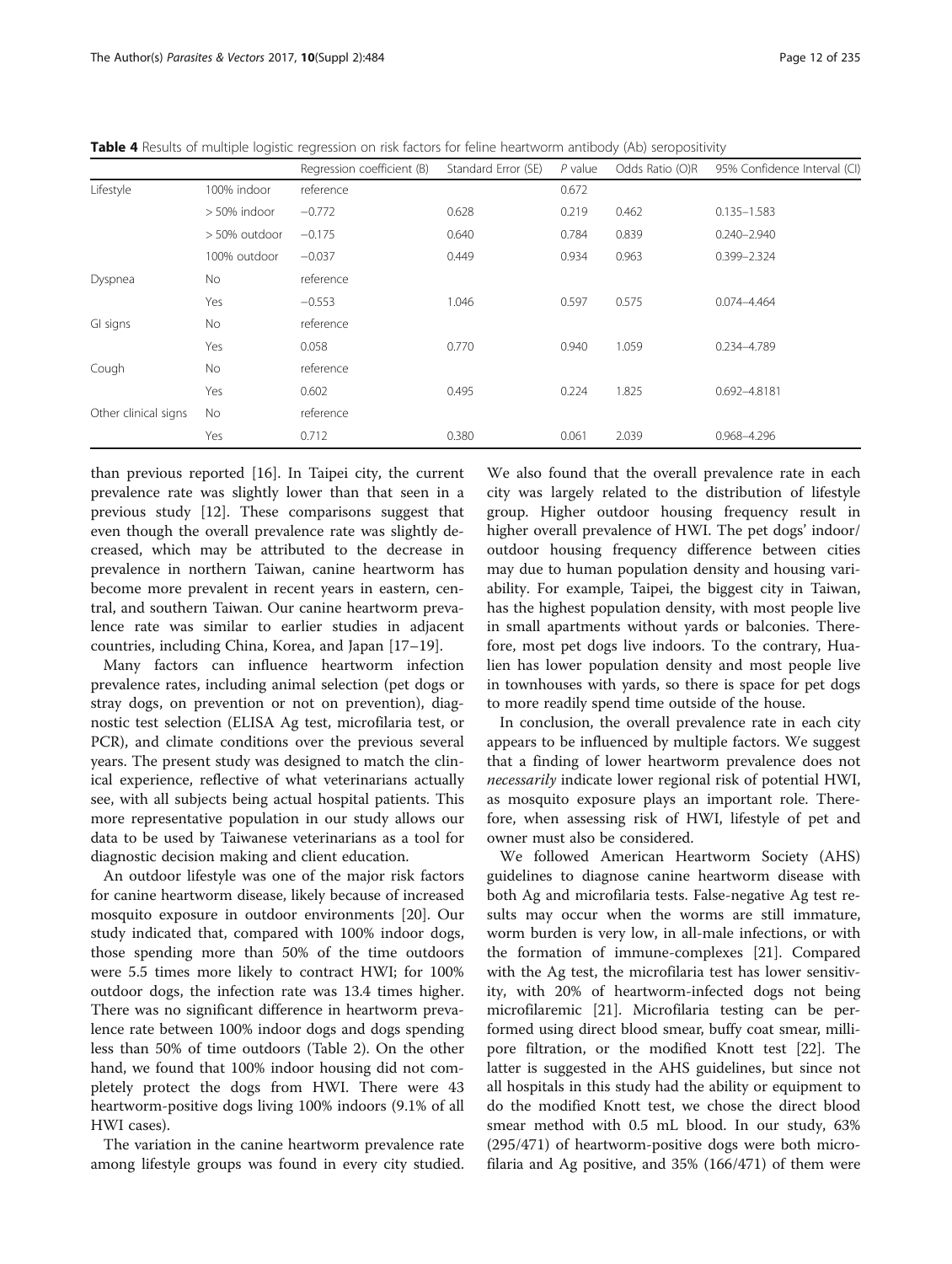<span id="page-5-0"></span>

|  |  | Table 4 Results of multiple logistic regression on risk factors for feline heartworm antibody (Ab) seropositivity |  |
|--|--|-------------------------------------------------------------------------------------------------------------------|--|
|  |  |                                                                                                                   |  |

|                      |                 | Regression coefficient (B) | Standard Error (SE) | $P$ value | Odds Ratio (O)R | 95% Confidence Interval (CI) |
|----------------------|-----------------|----------------------------|---------------------|-----------|-----------------|------------------------------|
| Lifestyle            | 100% indoor     | reference                  |                     | 0.672     |                 |                              |
|                      | $> 50\%$ indoor | $-0.772$                   | 0.628               | 0.219     | 0.462           | $0.135 - 1.583$              |
|                      | > 50% outdoor   | $-0.175$                   | 0.640               | 0.784     | 0.839           | $0.240 - 2.940$              |
|                      | 100% outdoor    | $-0.037$                   | 0.449               | 0.934     | 0.963           | 0.399-2.324                  |
| Dyspnea              | No              | reference                  |                     |           |                 |                              |
|                      | Yes             | $-0.553$                   | 1.046               | 0.597     | 0.575           | 0.074-4.464                  |
| GI signs             | No              | reference                  |                     |           |                 |                              |
|                      | Yes             | 0.058                      | 0.770               | 0.940     | 1.059           | 0.234-4.789                  |
| Cough                | No.             | reference                  |                     |           |                 |                              |
|                      | Yes             | 0.602                      | 0.495               | 0.224     | 1.825           | 0.692-4.8181                 |
| Other clinical signs | <b>No</b>       | reference                  |                     |           |                 |                              |
|                      | Yes             | 0.712                      | 0.380               | 0.061     | 2.039           | 0.968-4.296                  |

than previous reported [[16](#page-8-0)]. In Taipei city, the current prevalence rate was slightly lower than that seen in a previous study [[12\]](#page-8-0). These comparisons suggest that even though the overall prevalence rate was slightly decreased, which may be attributed to the decrease in prevalence in northern Taiwan, canine heartworm has become more prevalent in recent years in eastern, central, and southern Taiwan. Our canine heartworm prevalence rate was similar to earlier studies in adjacent countries, including China, Korea, and Japan [\[17](#page-8-0)–[19](#page-8-0)].

Many factors can influence heartworm infection prevalence rates, including animal selection (pet dogs or stray dogs, on prevention or not on prevention), diagnostic test selection (ELISA Ag test, microfilaria test, or PCR), and climate conditions over the previous several years. The present study was designed to match the clinical experience, reflective of what veterinarians actually see, with all subjects being actual hospital patients. This more representative population in our study allows our data to be used by Taiwanese veterinarians as a tool for diagnostic decision making and client education.

An outdoor lifestyle was one of the major risk factors for canine heartworm disease, likely because of increased mosquito exposure in outdoor environments [\[20](#page-8-0)]. Our study indicated that, compared with 100% indoor dogs, those spending more than 50% of the time outdoors were 5.5 times more likely to contract HWI; for 100% outdoor dogs, the infection rate was 13.4 times higher. There was no significant difference in heartworm prevalence rate between 100% indoor dogs and dogs spending less than 50% of time outdoors (Table [2](#page-4-0)). On the other hand, we found that 100% indoor housing did not completely protect the dogs from HWI. There were 43 heartworm-positive dogs living 100% indoors (9.1% of all HWI cases).

The variation in the canine heartworm prevalence rate among lifestyle groups was found in every city studied.

We also found that the overall prevalence rate in each city was largely related to the distribution of lifestyle group. Higher outdoor housing frequency result in higher overall prevalence of HWI. The pet dogs' indoor/ outdoor housing frequency difference between cities may due to human population density and housing variability. For example, Taipei, the biggest city in Taiwan, has the highest population density, with most people live in small apartments without yards or balconies. Therefore, most pet dogs live indoors. To the contrary, Hualien has lower population density and most people live in townhouses with yards, so there is space for pet dogs to more readily spend time outside of the house.

In conclusion, the overall prevalence rate in each city appears to be influenced by multiple factors. We suggest that a finding of lower heartworm prevalence does not necessarily indicate lower regional risk of potential HWI, as mosquito exposure plays an important role. Therefore, when assessing risk of HWI, lifestyle of pet and owner must also be considered.

We followed American Heartworm Society (AHS) guidelines to diagnose canine heartworm disease with both Ag and microfilaria tests. False-negative Ag test results may occur when the worms are still immature, worm burden is very low, in all-male infections, or with the formation of immune-complexes [\[21](#page-8-0)]. Compared with the Ag test, the microfilaria test has lower sensitivity, with 20% of heartworm-infected dogs not being microfilaremic [\[21\]](#page-8-0). Microfilaria testing can be performed using direct blood smear, buffy coat smear, millipore filtration, or the modified Knott test [\[22](#page-8-0)]. The latter is suggested in the AHS guidelines, but since not all hospitals in this study had the ability or equipment to do the modified Knott test, we chose the direct blood smear method with 0.5 mL blood. In our study, 63% (295/471) of heartworm-positive dogs were both microfilaria and Ag positive, and 35% (166/471) of them were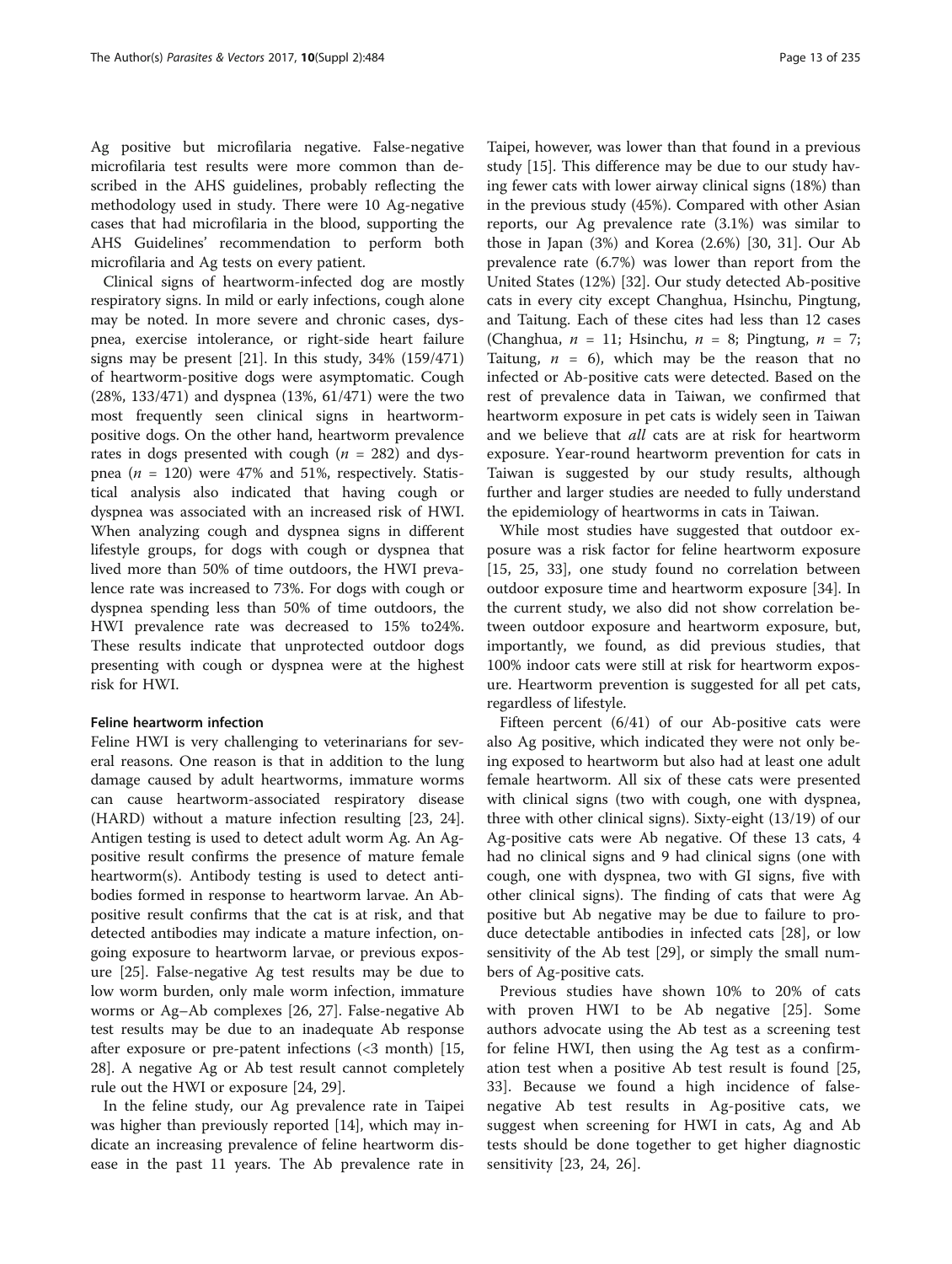Ag positive but microfilaria negative. False-negative microfilaria test results were more common than described in the AHS guidelines, probably reflecting the methodology used in study. There were 10 Ag-negative cases that had microfilaria in the blood, supporting the AHS Guidelines' recommendation to perform both microfilaria and Ag tests on every patient.

Clinical signs of heartworm-infected dog are mostly respiratory signs. In mild or early infections, cough alone may be noted. In more severe and chronic cases, dyspnea, exercise intolerance, or right-side heart failure signs may be present [\[21](#page-8-0)]. In this study, 34% (159/471) of heartworm-positive dogs were asymptomatic. Cough (28%, 133/471) and dyspnea (13%, 61/471) were the two most frequently seen clinical signs in heartwormpositive dogs. On the other hand, heartworm prevalence rates in dogs presented with cough  $(n = 282)$  and dyspnea ( $n = 120$ ) were 47% and 51%, respectively. Statistical analysis also indicated that having cough or dyspnea was associated with an increased risk of HWI. When analyzing cough and dyspnea signs in different lifestyle groups, for dogs with cough or dyspnea that lived more than 50% of time outdoors, the HWI prevalence rate was increased to 73%. For dogs with cough or dyspnea spending less than 50% of time outdoors, the HWI prevalence rate was decreased to 15% to24%. These results indicate that unprotected outdoor dogs presenting with cough or dyspnea were at the highest risk for HWI.

## Feline heartworm infection

Feline HWI is very challenging to veterinarians for several reasons. One reason is that in addition to the lung damage caused by adult heartworms, immature worms can cause heartworm-associated respiratory disease (HARD) without a mature infection resulting [[23, 24](#page-8-0)]. Antigen testing is used to detect adult worm Ag. An Agpositive result confirms the presence of mature female heartworm(s). Antibody testing is used to detect antibodies formed in response to heartworm larvae. An Abpositive result confirms that the cat is at risk, and that detected antibodies may indicate a mature infection, ongoing exposure to heartworm larvae, or previous exposure [[25\]](#page-8-0). False-negative Ag test results may be due to low worm burden, only male worm infection, immature worms or Ag–Ab complexes [\[26](#page-8-0), [27\]](#page-8-0). False-negative Ab test results may be due to an inadequate Ab response after exposure or pre-patent infections (<3 month) [[15](#page-8-0), [28\]](#page-8-0). A negative Ag or Ab test result cannot completely rule out the HWI or exposure [\[24](#page-8-0), [29\]](#page-8-0).

In the feline study, our Ag prevalence rate in Taipei was higher than previously reported [\[14](#page-8-0)], which may indicate an increasing prevalence of feline heartworm disease in the past 11 years. The Ab prevalence rate in Taipei, however, was lower than that found in a previous study [[15\]](#page-8-0). This difference may be due to our study having fewer cats with lower airway clinical signs (18%) than in the previous study (45%). Compared with other Asian reports, our Ag prevalence rate (3.1%) was similar to those in Japan (3%) and Korea (2.6%) [[30](#page-8-0), [31](#page-8-0)]. Our Ab prevalence rate (6.7%) was lower than report from the United States (12%) [[32](#page-8-0)]. Our study detected Ab-positive cats in every city except Changhua, Hsinchu, Pingtung, and Taitung. Each of these cites had less than 12 cases (Changhua,  $n = 11$ ; Hsinchu,  $n = 8$ ; Pingtung,  $n = 7$ ; Taitung,  $n = 6$ , which may be the reason that no infected or Ab-positive cats were detected. Based on the rest of prevalence data in Taiwan, we confirmed that heartworm exposure in pet cats is widely seen in Taiwan and we believe that all cats are at risk for heartworm exposure. Year-round heartworm prevention for cats in Taiwan is suggested by our study results, although further and larger studies are needed to fully understand the epidemiology of heartworms in cats in Taiwan.

While most studies have suggested that outdoor exposure was a risk factor for feline heartworm exposure [[15, 25, 33](#page-8-0)], one study found no correlation between outdoor exposure time and heartworm exposure [[34](#page-8-0)]. In the current study, we also did not show correlation between outdoor exposure and heartworm exposure, but, importantly, we found, as did previous studies, that 100% indoor cats were still at risk for heartworm exposure. Heartworm prevention is suggested for all pet cats, regardless of lifestyle.

Fifteen percent (6/41) of our Ab-positive cats were also Ag positive, which indicated they were not only being exposed to heartworm but also had at least one adult female heartworm. All six of these cats were presented with clinical signs (two with cough, one with dyspnea, three with other clinical signs). Sixty-eight (13/19) of our Ag-positive cats were Ab negative. Of these 13 cats, 4 had no clinical signs and 9 had clinical signs (one with cough, one with dyspnea, two with GI signs, five with other clinical signs). The finding of cats that were Ag positive but Ab negative may be due to failure to produce detectable antibodies in infected cats [[28\]](#page-8-0), or low sensitivity of the Ab test [\[29](#page-8-0)], or simply the small numbers of Ag-positive cats.

Previous studies have shown 10% to 20% of cats with proven HWI to be Ab negative [[25\]](#page-8-0). Some authors advocate using the Ab test as a screening test for feline HWI, then using the Ag test as a confirmation test when a positive Ab test result is found [\[25](#page-8-0), [33\]](#page-8-0). Because we found a high incidence of falsenegative Ab test results in Ag-positive cats, we suggest when screening for HWI in cats, Ag and Ab tests should be done together to get higher diagnostic sensitivity [\[23](#page-8-0), [24](#page-8-0), [26](#page-8-0)].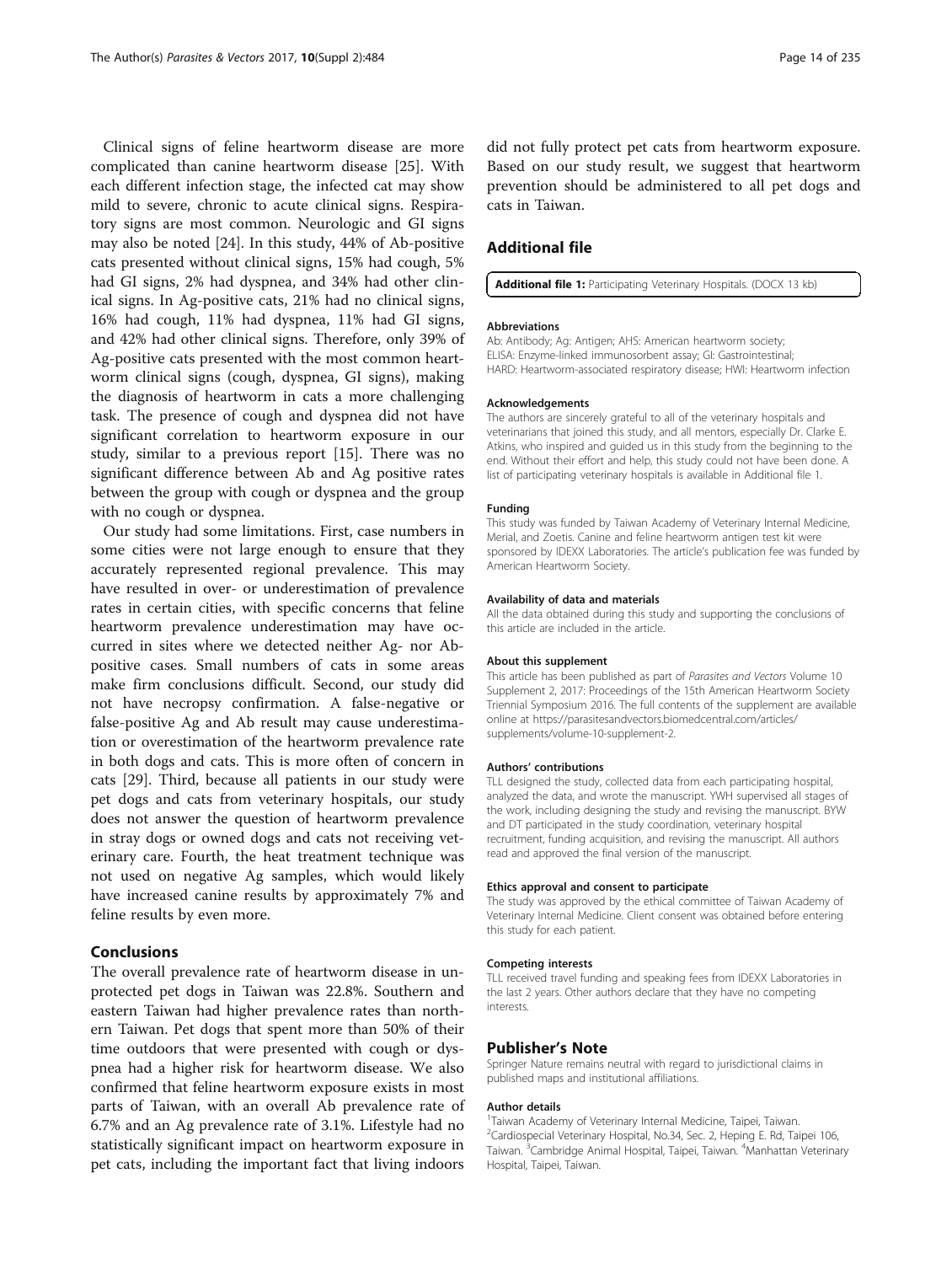Clinical signs of feline heartworm disease are more complicated than canine heartworm disease [[25\]](#page-8-0). With each different infection stage, the infected cat may show mild to severe, chronic to acute clinical signs. Respiratory signs are most common. Neurologic and GI signs may also be noted [[24\]](#page-8-0). In this study, 44% of Ab-positive cats presented without clinical signs, 15% had cough, 5% had GI signs, 2% had dyspnea, and 34% had other clinical signs. In Ag-positive cats, 21% had no clinical signs, 16% had cough, 11% had dyspnea, 11% had GI signs, and 42% had other clinical signs. Therefore, only 39% of Ag-positive cats presented with the most common heartworm clinical signs (cough, dyspnea, GI signs), making the diagnosis of heartworm in cats a more challenging task. The presence of cough and dyspnea did not have significant correlation to heartworm exposure in our study, similar to a previous report [[15\]](#page-8-0). There was no significant difference between Ab and Ag positive rates between the group with cough or dyspnea and the group with no cough or dyspnea.

Our study had some limitations. First, case numbers in some cities were not large enough to ensure that they accurately represented regional prevalence. This may have resulted in over- or underestimation of prevalence rates in certain cities, with specific concerns that feline heartworm prevalence underestimation may have occurred in sites where we detected neither Ag- nor Abpositive cases. Small numbers of cats in some areas make firm conclusions difficult. Second, our study did not have necropsy confirmation. A false-negative or false-positive Ag and Ab result may cause underestimation or overestimation of the heartworm prevalence rate in both dogs and cats. This is more often of concern in cats [[29\]](#page-8-0). Third, because all patients in our study were pet dogs and cats from veterinary hospitals, our study does not answer the question of heartworm prevalence in stray dogs or owned dogs and cats not receiving veterinary care. Fourth, the heat treatment technique was not used on negative Ag samples, which would likely have increased canine results by approximately 7% and feline results by even more.

## Conclusions

The overall prevalence rate of heartworm disease in unprotected pet dogs in Taiwan was 22.8%. Southern and eastern Taiwan had higher prevalence rates than northern Taiwan. Pet dogs that spent more than 50% of their time outdoors that were presented with cough or dyspnea had a higher risk for heartworm disease. We also confirmed that feline heartworm exposure exists in most parts of Taiwan, with an overall Ab prevalence rate of 6.7% and an Ag prevalence rate of 3.1%. Lifestyle had no statistically significant impact on heartworm exposure in pet cats, including the important fact that living indoors

did not fully protect pet cats from heartworm exposure. Based on our study result, we suggest that heartworm prevention should be administered to all pet dogs and cats in Taiwan.

## Additional file

[Additional file 1:](dx.doi.org/10.1186/s13071-017-2435-7) Participating Veterinary Hospitals. (DOCX 13 kb)

#### Abbreviations

Ab: Antibody; Ag: Antigen; AHS: American heartworm society; ELISA: Enzyme-linked immunosorbent assay; GI: Gastrointestinal; HARD: Heartworm-associated respiratory disease; HWI: Heartworm infection

#### Acknowledgements

The authors are sincerely grateful to all of the veterinary hospitals and veterinarians that joined this study, and all mentors, especially Dr. Clarke E. Atkins, who inspired and guided us in this study from the beginning to the end. Without their effort and help, this study could not have been done. A list of participating veterinary hospitals is available in Additional file 1.

#### Funding

This study was funded by Taiwan Academy of Veterinary Internal Medicine, Merial, and Zoetis. Canine and feline heartworm antigen test kit were sponsored by IDEXX Laboratories. The article's publication fee was funded by American Heartworm Society.

#### Availability of data and materials

All the data obtained during this study and supporting the conclusions of this article are included in the article.

#### About this supplement

This article has been published as part of Parasites and Vectors Volume 10 Supplement 2, 2017: Proceedings of the 15th American Heartworm Society Triennial Symposium 2016. The full contents of the supplement are available online at [https://parasitesandvectors.biomedcentral.com/articles/](https://parasitesandvectors.biomedcentral.com/articles/supplements/volume-10-supplement-2) [supplements/volume-10-supplement-2.](https://parasitesandvectors.biomedcentral.com/articles/supplements/volume-10-supplement-2)

#### Authors' contributions

TLL designed the study, collected data from each participating hospital, analyzed the data, and wrote the manuscript. YWH supervised all stages of the work, including designing the study and revising the manuscript. BYW and DT participated in the study coordination, veterinary hospital recruitment, funding acquisition, and revising the manuscript. All authors read and approved the final version of the manuscript.

#### Ethics approval and consent to participate

The study was approved by the ethical committee of Taiwan Academy of Veterinary Internal Medicine. Client consent was obtained before entering this study for each patient.

#### Competing interests

TLL received travel funding and speaking fees from IDEXX Laboratories in the last 2 years. Other authors declare that they have no competing interests.

#### Publisher's Note

Springer Nature remains neutral with regard to jurisdictional claims in published maps and institutional affiliations.

#### Author details

<sup>1</sup>Taiwan Academy of Veterinary Internal Medicine, Taipei, Taiwan. <sup>2</sup>Cardiospecial Veterinary Hospital, No.34, Sec. 2, Heping E. Rd, Taipei 106 Taiwan. <sup>3</sup>Cambridge Animal Hospital, Taipei, Taiwan. <sup>4</sup>Manhattan Veterinary Hospital, Taipei, Taiwan.